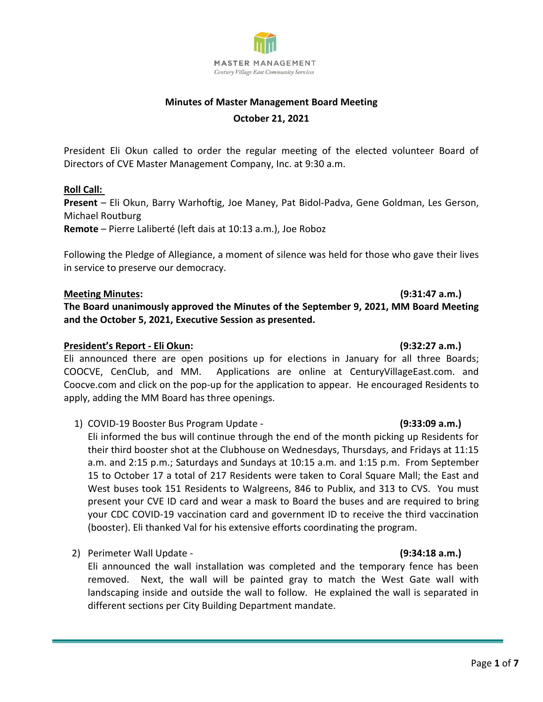

# **Minutes of Master Management Board Meeting October 21, 2021**

President Eli Okun called to order the regular meeting of the elected volunteer Board of Directors of CVE Master Management Company, Inc. at 9:30 a.m.

### **Roll Call:**

**Present** – Eli Okun, Barry Warhoftig, Joe Maney, Pat Bidol-Padva, Gene Goldman, Les Gerson, Michael Routburg

**Remote** – Pierre Laliberté (left dais at 10:13 a.m.), Joe Roboz

Following the Pledge of Allegiance, a moment of silence was held for those who gave their lives in service to preserve our democracy.

### **Meeting Minutes: (9:31:47 a.m.)**

**The Board unanimously approved the Minutes of the September 9, 2021, MM Board Meeting and the October 5, 2021, Executive Session as presented.**

### **President's Report - Eli Okun: (9:32:27 a.m.)**

Eli announced there are open positions up for elections in January for all three Boards; COOCVE, CenClub, and MM. Applications are online at CenturyVillageEast.com. and Coocve.com and click on the pop-up for the application to appear. He encouraged Residents to apply, adding the MM Board has three openings.

1) COVID-19 Booster Bus Program Update - **(9:33:09 a.m.)** 

Eli informed the bus will continue through the end of the month picking up Residents for their third booster shot at the Clubhouse on Wednesdays, Thursdays, and Fridays at 11:15 a.m. and 2:15 p.m.; Saturdays and Sundays at 10:15 a.m. and 1:15 p.m. From September 15 to October 17 a total of 217 Residents were taken to Coral Square Mall; the East and West buses took 151 Residents to Walgreens, 846 to Publix, and 313 to CVS. You must present your CVE ID card and wear a mask to Board the buses and are required to bring your CDC COVID-19 vaccination card and government ID to receive the third vaccination (booster). Eli thanked Val for his extensive efforts coordinating the program.

2) Perimeter Wall Update - **(9:34:18 a.m.)** 

Eli announced the wall installation was completed and the temporary fence has been removed. Next, the wall will be painted gray to match the West Gate wall with landscaping inside and outside the wall to follow. He explained the wall is separated in different sections per City Building Department mandate.

Page **1** of **7**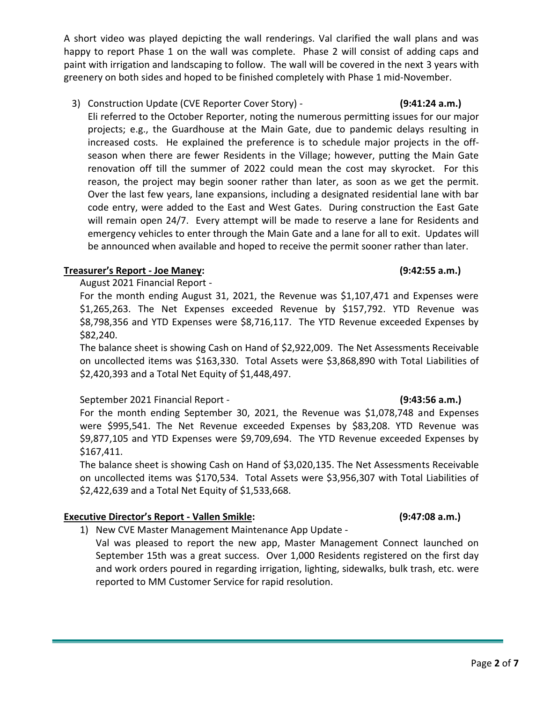A short video was played depicting the wall renderings. Val clarified the wall plans and was happy to report Phase 1 on the wall was complete. Phase 2 will consist of adding caps and paint with irrigation and landscaping to follow. The wall will be covered in the next 3 years with greenery on both sides and hoped to be finished completely with Phase 1 mid-November.

3) Construction Update (CVE Reporter Cover Story) - **(9:41:24 a.m.)** 

Eli referred to the October Reporter, noting the numerous permitting issues for our major projects; e.g., the Guardhouse at the Main Gate, due to pandemic delays resulting in increased costs. He explained the preference is to schedule major projects in the offseason when there are fewer Residents in the Village; however, putting the Main Gate renovation off till the summer of 2022 could mean the cost may skyrocket. For this reason, the project may begin sooner rather than later, as soon as we get the permit. Over the last few years, lane expansions, including a designated residential lane with bar code entry, were added to the East and West Gates. During construction the East Gate will remain open 24/7. Every attempt will be made to reserve a lane for Residents and emergency vehicles to enter through the Main Gate and a lane for all to exit. Updates will be announced when available and hoped to receive the permit sooner rather than later.

### **Treasurer's Report - Joe Maney: (9:42:55 a.m.)**

August 2021 Financial Report -

For the month ending August 31, 2021, the Revenue was \$1,107,471 and Expenses were \$1,265,263. The Net Expenses exceeded Revenue by \$157,792. YTD Revenue was \$8,798,356 and YTD Expenses were \$8,716,117. The YTD Revenue exceeded Expenses by \$82,240.

The balance sheet is showing Cash on Hand of \$2,922,009. The Net Assessments Receivable on uncollected items was \$163,330. Total Assets were \$3,868,890 with Total Liabilities of \$2,420,393 and a Total Net Equity of \$1,448,497.

## September 2021 Financial Report - **(9:43:56 a.m.)**

For the month ending September 30, 2021, the Revenue was \$1,078,748 and Expenses were \$995,541. The Net Revenue exceeded Expenses by \$83,208. YTD Revenue was \$9,877,105 and YTD Expenses were \$9,709,694. The YTD Revenue exceeded Expenses by \$167,411.

The balance sheet is showing Cash on Hand of \$3,020,135. The Net Assessments Receivable on uncollected items was \$170,534. Total Assets were \$3,956,307 with Total Liabilities of \$2,422,639 and a Total Net Equity of \$1,533,668.

## **Executive Director's Report - Vallen Smikle: (9:47:08 a.m.)**

1) New CVE Master Management Maintenance App Update -

Val was pleased to report the new app, Master Management Connect launched on September 15th was a great success. Over 1,000 Residents registered on the first day and work orders poured in regarding irrigation, lighting, sidewalks, bulk trash, etc. were reported to MM Customer Service for rapid resolution.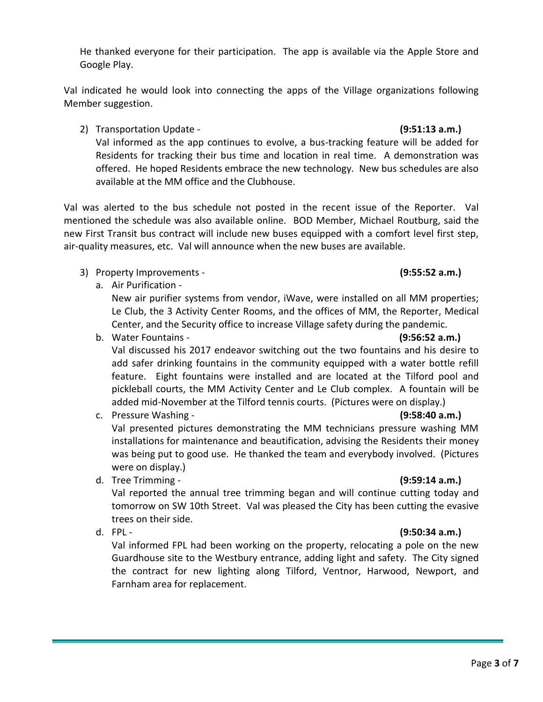He thanked everyone for their participation. The app is available via the Apple Store and Google Play.

Val indicated he would look into connecting the apps of the Village organizations following Member suggestion.

2) Transportation Update - **(9:51:13 a.m.)** Val informed as the app continues to evolve, a bus-tracking feature will be added for Residents for tracking their bus time and location in real time. A demonstration was offered. He hoped Residents embrace the new technology. New bus schedules are also available at the MM office and the Clubhouse.

Val was alerted to the bus schedule not posted in the recent issue of the Reporter. Val mentioned the schedule was also available online. BOD Member, Michael Routburg, said the new First Transit bus contract will include new buses equipped with a comfort level first step, air-quality measures, etc. Val will announce when the new buses are available.

- 3) Property Improvements **(9:55:52 a.m.)**
	- a. Air Purification -

New air purifier systems from vendor, iWave, were installed on all MM properties; Le Club, the 3 Activity Center Rooms, and the offices of MM, the Reporter, Medical Center, and the Security office to increase Village safety during the pandemic.

b. Water Fountains - **(9:56:52 a.m.)**

Val discussed his 2017 endeavor switching out the two fountains and his desire to add safer drinking fountains in the community equipped with a water bottle refill feature. Eight fountains were installed and are located at the Tilford pool and pickleball courts, the MM Activity Center and Le Club complex. A fountain will be added mid-November at the Tilford tennis courts. (Pictures were on display.)

- c. Pressure Washing **(9:58:40 a.m.)** Val presented pictures demonstrating the MM technicians pressure washing MM installations for maintenance and beautification, advising the Residents their money was being put to good use. He thanked the team and everybody involved. (Pictures were on display.)
- d. Tree Trimming **(9:59:14 a.m.)**

Val reported the annual tree trimming began and will continue cutting today and tomorrow on SW 10th Street. Val was pleased the City has been cutting the evasive trees on their side.

d. FPL - **(9:50:34 a.m.)**

Val informed FPL had been working on the property, relocating a pole on the new Guardhouse site to the Westbury entrance, adding light and safety. The City signed the contract for new lighting along Tilford, Ventnor, Harwood, Newport, and Farnham area for replacement.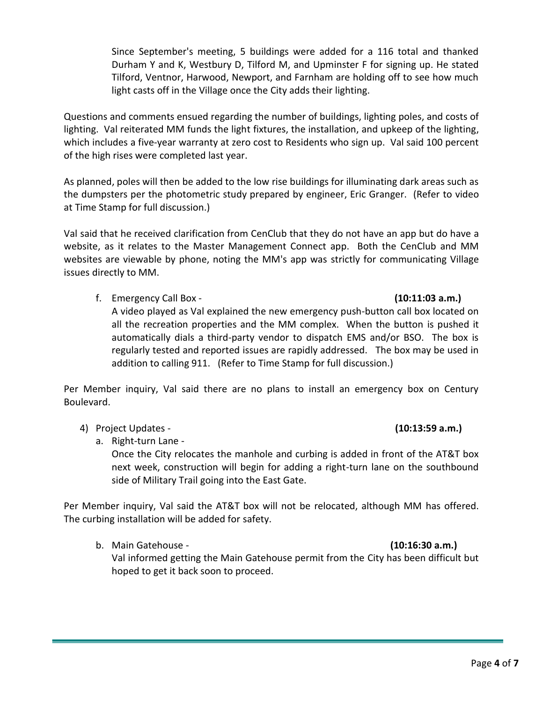Since September's meeting, 5 buildings were added for a 116 total and thanked Durham Y and K, Westbury D, Tilford M, and Upminster F for signing up. He stated Tilford, Ventnor, Harwood, Newport, and Farnham are holding off to see how much light casts off in the Village once the City adds their lighting.

Questions and comments ensued regarding the number of buildings, lighting poles, and costs of lighting. Val reiterated MM funds the light fixtures, the installation, and upkeep of the lighting, which includes a five-year warranty at zero cost to Residents who sign up. Val said 100 percent of the high rises were completed last year.

As planned, poles will then be added to the low rise buildings for illuminating dark areas such as the dumpsters per the photometric study prepared by engineer, Eric Granger. (Refer to video at Time Stamp for full discussion.)

Val said that he received clarification from CenClub that they do not have an app but do have a website, as it relates to the Master Management Connect app. Both the CenClub and MM websites are viewable by phone, noting the MM's app was strictly for communicating Village issues directly to MM.

f. Emergency Call Box - **(10:11:03 a.m.)**

# A video played as Val explained the new emergency push-button call box located on all the recreation properties and the MM complex. When the button is pushed it automatically dials a third-party vendor to dispatch EMS and/or BSO. The box is regularly tested and reported issues are rapidly addressed. The box may be used in addition to calling 911. (Refer to Time Stamp for full discussion.)

Per Member inquiry, Val said there are no plans to install an emergency box on Century Boulevard.

4) Project Updates - **(10:13:59 a.m.)**

a. Right-turn Lane -

Once the City relocates the manhole and curbing is added in front of the AT&T box next week, construction will begin for adding a right-turn lane on the southbound side of Military Trail going into the East Gate.

Per Member inquiry, Val said the AT&T box will not be relocated, although MM has offered. The curbing installation will be added for safety.

b. Main Gatehouse - **(10:16:30 a.m.)** Val informed getting the Main Gatehouse permit from the City has been difficult but hoped to get it back soon to proceed.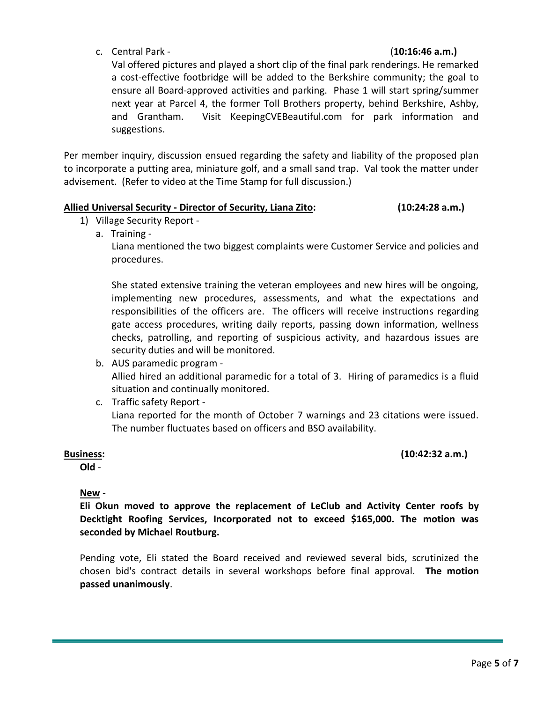c. Central Park - (**10:16:46 a.m.)**

Val offered pictures and played a short clip of the final park renderings. He remarked a cost-effective footbridge will be added to the Berkshire community; the goal to ensure all Board-approved activities and parking. Phase 1 will start spring/summer next year at Parcel 4, the former Toll Brothers property, behind Berkshire, Ashby, and Grantham. Visit KeepingCVEBeautiful.com for park information and suggestions.

Per member inquiry, discussion ensued regarding the safety and liability of the proposed plan to incorporate a putting area, miniature golf, and a small sand trap. Val took the matter under advisement. (Refer to video at the Time Stamp for full discussion.)

## **Allied Universal Security - Director of Security, Liana Zito: (10:24:28 a.m.)**

- 1) Village Security Report
	- a. Training -

Liana mentioned the two biggest complaints were Customer Service and policies and procedures.

She stated extensive training the veteran employees and new hires will be ongoing, implementing new procedures, assessments, and what the expectations and responsibilities of the officers are. The officers will receive instructions regarding gate access procedures, writing daily reports, passing down information, wellness checks, patrolling, and reporting of suspicious activity, and hazardous issues are security duties and will be monitored.

- b. AUS paramedic program Allied hired an additional paramedic for a total of 3. Hiring of paramedics is a fluid situation and continually monitored.
- c. Traffic safety Report Liana reported for the month of October 7 warnings and 23 citations were issued. The number fluctuates based on officers and BSO availability.

**Old** -

**Business: (10:42:32 a.m.)**

**New** -

**Eli Okun moved to approve the replacement of LeClub and Activity Center roofs by Decktight Roofing Services, Incorporated not to exceed \$165,000. The motion was seconded by Michael Routburg.**

Pending vote, Eli stated the Board received and reviewed several bids, scrutinized the chosen bid's contract details in several workshops before final approval. **The motion passed unanimously**.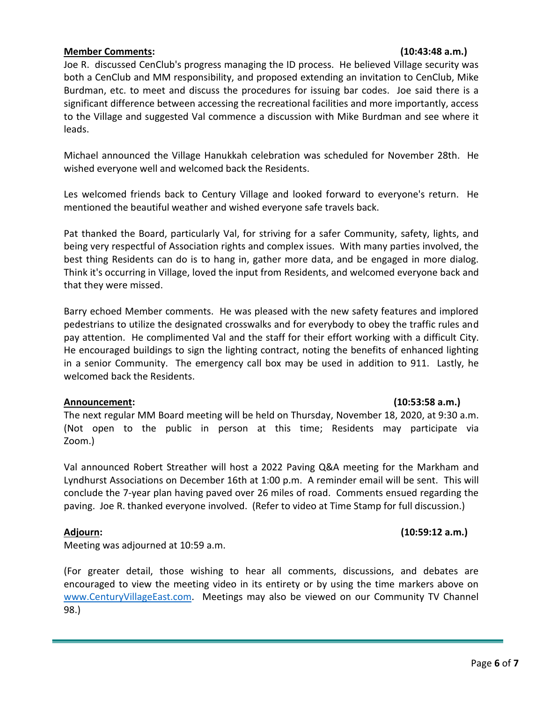### **Member Comments: (10:43:48 a.m.)**

Joe R. discussed CenClub's progress managing the ID process. He believed Village security was both a CenClub and MM responsibility, and proposed extending an invitation to CenClub, Mike Burdman, etc. to meet and discuss the procedures for issuing bar codes. Joe said there is a significant difference between accessing the recreational facilities and more importantly, access to the Village and suggested Val commence a discussion with Mike Burdman and see where it leads.

Michael announced the Village Hanukkah celebration was scheduled for November 28th. He wished everyone well and welcomed back the Residents.

Les welcomed friends back to Century Village and looked forward to everyone's return. He mentioned the beautiful weather and wished everyone safe travels back.

Pat thanked the Board, particularly Val, for striving for a safer Community, safety, lights, and being very respectful of Association rights and complex issues. With many parties involved, the best thing Residents can do is to hang in, gather more data, and be engaged in more dialog. Think it's occurring in Village, loved the input from Residents, and welcomed everyone back and that they were missed.

Barry echoed Member comments. He was pleased with the new safety features and implored pedestrians to utilize the designated crosswalks and for everybody to obey the traffic rules and pay attention. He complimented Val and the staff for their effort working with a difficult City. He encouraged buildings to sign the lighting contract, noting the benefits of enhanced lighting in a senior Community. The emergency call box may be used in addition to 911. Lastly, he welcomed back the Residents.

### **Announcement: (10:53:58 a.m.)**

The next regular MM Board meeting will be held on Thursday, November 18, 2020, at 9:30 a.m. (Not open to the public in person at this time; Residents may participate via Zoom.)

Val announced Robert Streather will host a 2022 Paving Q&A meeting for the Markham and Lyndhurst Associations on December 16th at 1:00 p.m. A reminder email will be sent. This will conclude the 7-year plan having paved over 26 miles of road. Comments ensued regarding the paving. Joe R. thanked everyone involved. (Refer to video at Time Stamp for full discussion.)

**Adjourn: (10:59:12 a.m.)**

Meeting was adjourned at 10:59 a.m.

(For greater detail, those wishing to hear all comments, discussions, and debates are encouraged to view the meeting video in its entirety or by using the time markers above on [www.CenturyVillageEast.com.](http://www.centuryvillageeast.com/) Meetings may also be viewed on our Community TV Channel 98.)